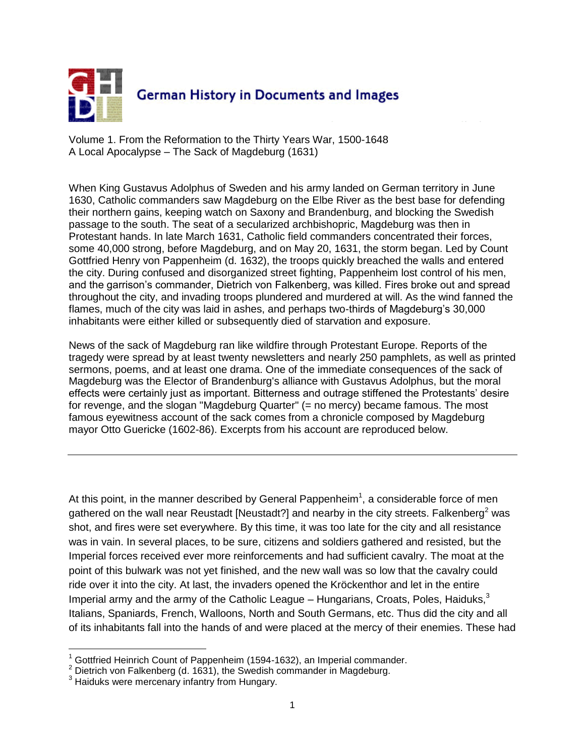

Volume 1. From the Reformation to the Thirty Years War, 1500-1648 A Local Apocalypse – The Sack of Magdeburg (1631)

When King Gustavus Adolphus of Sweden and his army landed on German territory in June 1630, Catholic commanders saw Magdeburg on the Elbe River as the best base for defending their northern gains, keeping watch on Saxony and Brandenburg, and blocking the Swedish passage to the south. The seat of a secularized archbishopric, Magdeburg was then in Protestant hands. In late March 1631, Catholic field commanders concentrated their forces, some 40,000 strong, before Magdeburg, and on May 20, 1631, the storm began. Led by Count Gottfried Henry von Pappenheim (d. 1632), the troops quickly breached the walls and entered the city. During confused and disorganized street fighting, Pappenheim lost control of his men, and the garrison's commander, Dietrich von Falkenberg, was killed. Fires broke out and spread throughout the city, and invading troops plundered and murdered at will. As the wind fanned the flames, much of the city was laid in ashes, and perhaps two-thirds of Magdeburg's 30,000 inhabitants were either killed or subsequently died of starvation and exposure.

News of the sack of Magdeburg ran like wildfire through Protestant Europe. Reports of the tragedy were spread by at least twenty newsletters and nearly 250 pamphlets, as well as printed sermons, poems, and at least one drama. One of the immediate consequences of the sack of Magdeburg was the Elector of Brandenburg's alliance with Gustavus Adolphus, but the moral effects were certainly just as important. Bitterness and outrage stiffened the Protestants' desire for revenge, and the slogan "Magdeburg Quarter" (= no mercy) became famous. The most famous eyewitness account of the sack comes from a chronicle composed by Magdeburg mayor Otto Guericke (1602-86). Excerpts from his account are reproduced below.

At this point, in the manner described by General Pappenheim<sup>1</sup>, a considerable force of men gathered on the wall near Reustadt [Neustadt?] and nearby in the city streets. Falkenberg<sup>2</sup> was shot, and fires were set everywhere. By this time, it was too late for the city and all resistance was in vain. In several places, to be sure, citizens and soldiers gathered and resisted, but the Imperial forces received ever more reinforcements and had sufficient cavalry. The moat at the point of this bulwark was not yet finished, and the new wall was so low that the cavalry could ride over it into the city. At last, the invaders opened the Kröckenthor and let in the entire Imperial army and the army of the Catholic League – Hungarians, Croats, Poles, Haiduks, $3$ Italians, Spaniards, French, Walloons, North and South Germans, etc. Thus did the city and all of its inhabitants fall into the hands of and were placed at the mercy of their enemies. These had

 $\overline{a}$ 

<sup>1</sup> Gottfried Heinrich Count of Pappenheim (1594-1632), an Imperial commander.

<sup>&</sup>lt;sup>2</sup> Dietrich von Falkenberg (d. 1631), the Swedish commander in Magdeburg.

<sup>&</sup>lt;sup>3</sup> Haiduks were mercenary infantry from Hungary.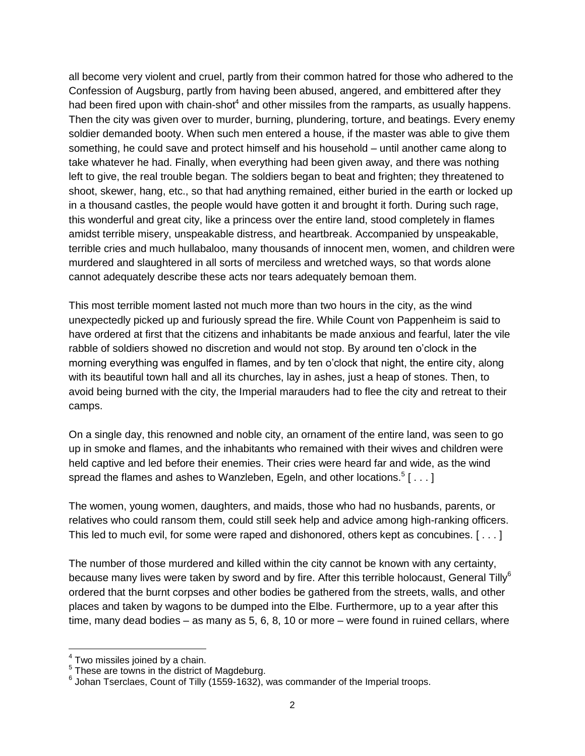all become very violent and cruel, partly from their common hatred for those who adhered to the Confession of Augsburg, partly from having been abused, angered, and embittered after they had been fired upon with chain-shot<sup>4</sup> and other missiles from the ramparts, as usually happens. Then the city was given over to murder, burning, plundering, torture, and beatings. Every enemy soldier demanded booty. When such men entered a house, if the master was able to give them something, he could save and protect himself and his household – until another came along to take whatever he had. Finally, when everything had been given away, and there was nothing left to give, the real trouble began. The soldiers began to beat and frighten; they threatened to shoot, skewer, hang, etc., so that had anything remained, either buried in the earth or locked up in a thousand castles, the people would have gotten it and brought it forth. During such rage, this wonderful and great city, like a princess over the entire land, stood completely in flames amidst terrible misery, unspeakable distress, and heartbreak. Accompanied by unspeakable, terrible cries and much hullabaloo, many thousands of innocent men, women, and children were murdered and slaughtered in all sorts of merciless and wretched ways, so that words alone cannot adequately describe these acts nor tears adequately bemoan them.

This most terrible moment lasted not much more than two hours in the city, as the wind unexpectedly picked up and furiously spread the fire. While Count von Pappenheim is said to have ordered at first that the citizens and inhabitants be made anxious and fearful, later the vile rabble of soldiers showed no discretion and would not stop. By around ten o'clock in the morning everything was engulfed in flames, and by ten o'clock that night, the entire city, along with its beautiful town hall and all its churches, lay in ashes, just a heap of stones. Then, to avoid being burned with the city, the Imperial marauders had to flee the city and retreat to their camps.

On a single day, this renowned and noble city, an ornament of the entire land, was seen to go up in smoke and flames, and the inhabitants who remained with their wives and children were held captive and led before their enemies. Their cries were heard far and wide, as the wind spread the flames and ashes to Wanzleben, Egeln, and other locations. $^5$  [  $\dots$  ]

The women, young women, daughters, and maids, those who had no husbands, parents, or relatives who could ransom them, could still seek help and advice among high-ranking officers. This led to much evil, for some were raped and dishonored, others kept as concubines. [ . . . ]

The number of those murdered and killed within the city cannot be known with any certainty, because many lives were taken by sword and by fire. After this terrible holocaust, General Tilly<sup>6</sup> ordered that the burnt corpses and other bodies be gathered from the streets, walls, and other places and taken by wagons to be dumped into the Elbe. Furthermore, up to a year after this time, many dead bodies – as many as 5, 6, 8, 10 or more – were found in ruined cellars, where

<sup>&</sup>lt;sup>4</sup> Two missiles joined by a chain.<br><sup>5</sup> These are towns in the district of Magdeburg.<br><sup>6</sup> Johan Tserclaes, Count of Tilly (1559-1632), was commander of the Imperial troops.